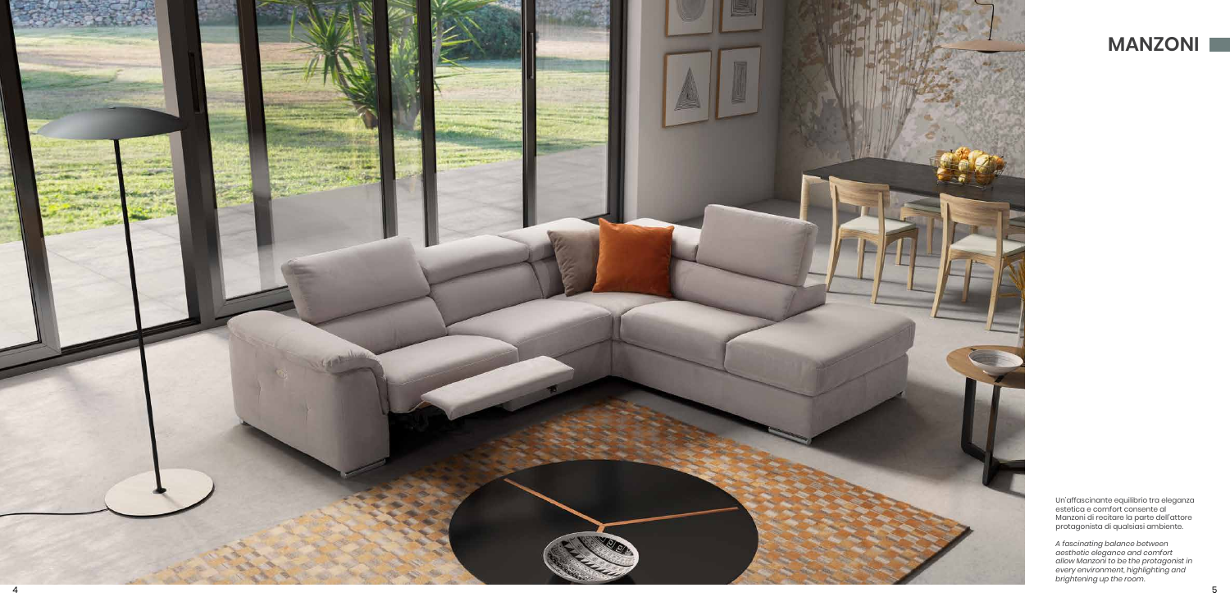

## **MANZONI**

Un'affascinante equilibrio tra eleganza estetica e comfort consente al Manzoni di recitare la parte dell'attore protagonista di qualsiasi ambiente.

*A fascinating balance between aesthetic elegance and comfort allow Manzoni to be the protagonist in every environment, highlighting and brightening up the room.*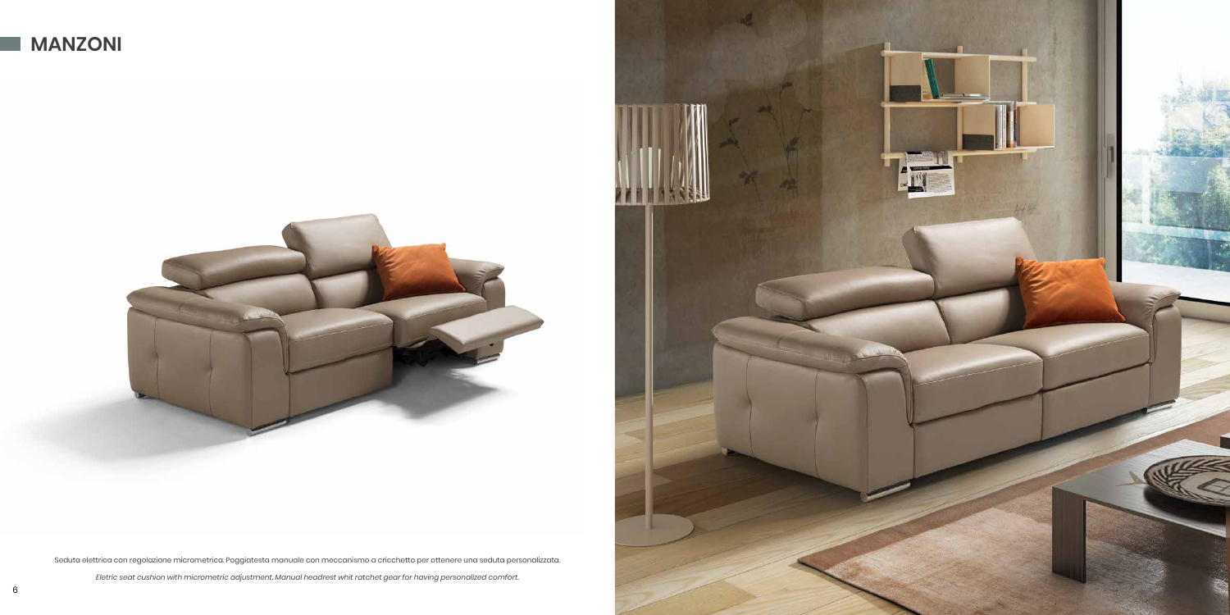

Seduta elettrica con regolazione micrometrica. Poggiatesta manuale con meccanismo a cricchetto per ottenere una seduta personalizzata.

*Eletric seat cushion with micrometric adjustment. Manual headrest whit ratchet gear for having personalized comfort.*

## **MANZONI**